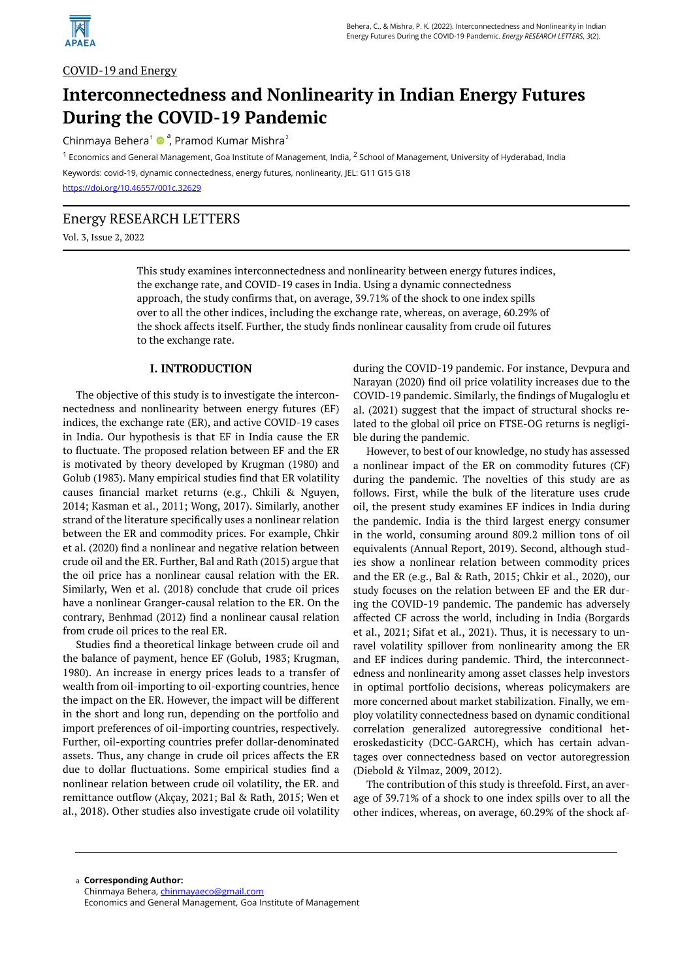

## COVID-19 and Energy

# **Interconnectedness and Nonlinearity in Indian Energy Futures During the COVID-19 Pandemic**

Chinmaya Behera<sup>1</sup> · ? Pramod Kumar Mishra<sup>2</sup>

<sup>1</sup> Economics and General Management, Goa Institute of Management, India, <sup>2</sup> School of Management, University of Hyderabad, India Keywords: covid-19, dynamic connectedness, energy futures, nonlinearity, JEL: G11 G15 G18

<https://doi.org/10.46557/001c.32629>

### Energy RESEARCH LETTERS

Vol. 3, Issue 2, 2022

This study examines interconnectedness and nonlinearity between energy futures indices, the exchange rate, and COVID-19 cases in India. Using a dynamic connectedness approach, the study confirms that, on average, 39.71% of the shock to one index spills over to all the other indices, including the exchange rate, whereas, on average, 60.29% of the shock affects itself. Further, the study finds nonlinear causality from crude oil futures to the exchange rate.

#### **I. INTRODUCTION**

The objective of this study is to investigate the interconnectedness and nonlinearity between energy futures (EF) indices, the exchange rate (ER), and active COVID-19 cases in India. Our hypothesis is that EF in India cause the ER to fluctuate. The proposed relation between EF and the ER is motivated by theory developed by Krugman (1980) and Golub (1983). Many empirical studies find that ER volatility causes financial market returns (e.g., Chkili & Nguyen, 2014; Kasman et al., 2011; Wong, 2017). Similarly, another strand of the literature specifically uses a nonlinear relation between the ER and commodity prices. For example, Chkir et al. (2020) find a nonlinear and negative relation between crude oil and the ER. Further, Bal and Rath (2015) argue that the oil price has a nonlinear causal relation with the ER. Similarly, Wen et al. (2018) conclude that crude oil prices have a nonlinear Granger-causal relation to the ER. On the contrary, Benhmad (2012) find a nonlinear causal relation from crude oil prices to the real ER.

Studies find a theoretical linkage between crude oil and the balance of payment, hence EF (Golub, 1983; Krugman, 1980). An increase in energy prices leads to a transfer of wealth from oil-importing to oil-exporting countries, hence the impact on the ER. However, the impact will be different in the short and long run, depending on the portfolio and import preferences of oil-importing countries, respectively. Further, oil-exporting countries prefer dollar-denominated assets. Thus, any change in crude oil prices affects the ER due to dollar fluctuations. Some empirical studies find a nonlinear relation between crude oil volatility, the ER. and remittance outflow (Akçay, 2021; Bal & Rath, 2015; Wen et al., 2018). Other studies also investigate crude oil volatility

during the COVID-19 pandemic. For instance, Devpura and Narayan (2020) find oil price volatility increases due to the COVID-19 pandemic. Similarly, the findings of Mugaloglu et al. (2021) suggest that the impact of structural shocks related to the global oil price on FTSE-OG returns is negligible during the pandemic.

However, to best of our knowledge, no study has assessed a nonlinear impact of the ER on commodity futures (CF) during the pandemic. The novelties of this study are as follows. First, while the bulk of the literature uses crude oil, the present study examines EF indices in India during the pandemic. India is the third largest energy consumer in the world, consuming around 809.2 million tons of oil equivalents (Annual Report, 2019). Second, although studies show a nonlinear relation between commodity prices and the ER (e.g., Bal & Rath, 2015; Chkir et al., 2020), our study focuses on the relation between EF and the ER during the COVID-19 pandemic. The pandemic has adversely affected CF across the world, including in India (Borgards et al., 2021; Sifat et al., 2021). Thus, it is necessary to unravel volatility spillover from nonlinearity among the ER and EF indices during pandemic. Third, the interconnectedness and nonlinearity among asset classes help investors in optimal portfolio decisions, whereas policymakers are more concerned about market stabilization. Finally, we employ volatility connectedness based on dynamic conditional correlation generalized autoregressive conditional heteroskedasticity (DCC-GARCH), which has certain advantages over connectedness based on vector autoregression (Diebold & Yilmaz, 2009, 2012).

The contribution of this study is threefold. First, an average of 39.71% of a shock to one index spills over to all the other indices, whereas, on average, 60.29% of the shock af-

**Corresponding Author:**  a Chinmaya Behera, [chinmayaeco@gmail.com](mailto:chinmayaeco@gmail.com)  Economics and General Management, Goa Institute of Management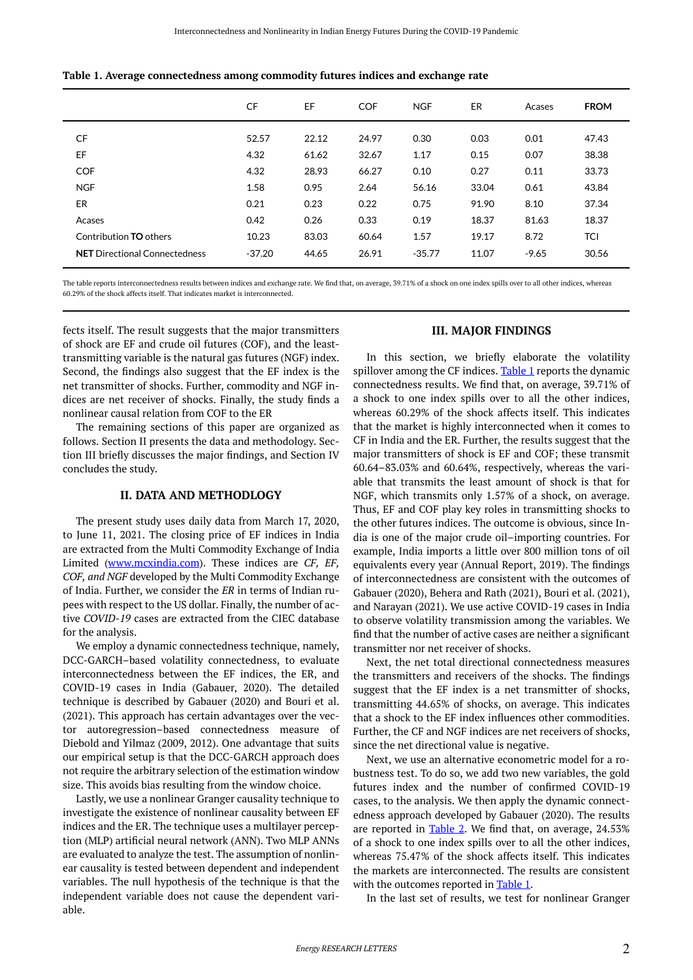|                                      | <b>CF</b> | EF    | <b>COF</b> | <b>NGF</b> | ER    | Acases  | <b>FROM</b> |
|--------------------------------------|-----------|-------|------------|------------|-------|---------|-------------|
| CF                                   | 52.57     | 22.12 | 24.97      | 0.30       | 0.03  | 0.01    | 47.43       |
| EF                                   | 4.32      | 61.62 | 32.67      | 1.17       | 0.15  | 0.07    | 38.38       |
| <b>COF</b>                           | 4.32      | 28.93 | 66.27      | 0.10       | 0.27  | 0.11    | 33.73       |
| <b>NGF</b>                           | 1.58      | 0.95  | 2.64       | 56.16      | 33.04 | 0.61    | 43.84       |
| ER                                   | 0.21      | 0.23  | 0.22       | 0.75       | 91.90 | 8.10    | 37.34       |
| Acases                               | 0.42      | 0.26  | 0.33       | 0.19       | 18.37 | 81.63   | 18.37       |
| Contribution <b>TO</b> others        | 10.23     | 83.03 | 60.64      | 1.57       | 19.17 | 8.72    | <b>TCI</b>  |
| <b>NET</b> Directional Connectedness | $-37.20$  | 44.65 | 26.91      | $-35.77$   | 11.07 | $-9.65$ | 30.56       |

<span id="page-1-0"></span>

|  | Table 1. Average connectedness among commodity futures indices and exchange rate |  |  |  |
|--|----------------------------------------------------------------------------------|--|--|--|
|  |                                                                                  |  |  |  |

The table reports interconnectedness results between indices and exchange rate. We find that, on average, 39.71% of a shock on one index spills over to all other indices, whereas 60.29% of the shock affects itself. That indicates market is interconnected.

fects itself. The result suggests that the major transmitters of shock are EF and crude oil futures (COF), and the leasttransmitting variable is the natural gas futures (NGF) index. Second, the findings also suggest that the EF index is the net transmitter of shocks. Further, commodity and NGF indices are net receiver of shocks. Finally, the study finds a nonlinear causal relation from COF to the ER

The remaining sections of this paper are organized as follows. Section II presents the data and methodology. Section III briefly discusses the major findings, and Section IV concludes the study.

#### **II. DATA AND METHODLOGY**

The present study uses daily data from March 17, 2020, to June 11, 2021. The closing price of EF indices in India are extracted from the Multi Commodity Exchange of India Limited ([www.mcxindia.com](http://www.mcxindia.com/)). These indices are *CF, EF, COF, and NGF* developed by the Multi Commodity Exchange of India. Further, we consider the *ER* in terms of Indian rupees with respect to the US dollar. Finally, the number of active *COVID-19* cases are extracted from the CIEC database for the analysis.

We employ a dynamic connectedness technique, namely, DCC-GARCH–based volatility connectedness, to evaluate interconnectedness between the EF indices, the ER, and COVID-19 cases in India (Gabauer, 2020). The detailed technique is described by Gabauer (2020) and Bouri et al. (2021). This approach has certain advantages over the vector autoregression–based connectedness measure of Diebold and Yilmaz (2009, 2012). One advantage that suits our empirical setup is that the DCC-GARCH approach does not require the arbitrary selection of the estimation window size. This avoids bias resulting from the window choice.

Lastly, we use a nonlinear Granger causality technique to investigate the existence of nonlinear causality between EF indices and the ER. The technique uses a multilayer perception (MLP) artificial neural network (ANN). Two MLP ANNs are evaluated to analyze the test. The assumption of nonlinear causality is tested between dependent and independent variables. The null hypothesis of the technique is that the independent variable does not cause the dependent variable.

#### **III. MAJOR FINDINGS**

In this section, we briefly elaborate the volatility spillover among the CF indices. [Table 1](#page-1-0) reports the dynamic connectedness results. We find that, on average, 39.71% of a shock to one index spills over to all the other indices, whereas 60.29% of the shock affects itself. This indicates that the market is highly interconnected when it comes to CF in India and the ER. Further, the results suggest that the major transmitters of shock is EF and COF; these transmit 60.64–83.03% and 60.64%, respectively, whereas the variable that transmits the least amount of shock is that for NGF, which transmits only 1.57% of a shock, on average. Thus, EF and COF play key roles in transmitting shocks to the other futures indices. The outcome is obvious, since India is one of the major crude oil–importing countries. For example, India imports a little over 800 million tons of oil equivalents every year (Annual Report, 2019). The findings of interconnectedness are consistent with the outcomes of Gabauer (2020), Behera and Rath (2021), Bouri et al. (2021), and Narayan (2021). We use active COVID-19 cases in India to observe volatility transmission among the variables. We find that the number of active cases are neither a significant transmitter nor net receiver of shocks.

Next, the net total directional connectedness measures the transmitters and receivers of the shocks. The findings suggest that the EF index is a net transmitter of shocks, transmitting 44.65% of shocks, on average. This indicates that a shock to the EF index influences other commodities. Further, the CF and NGF indices are net receivers of shocks, since the net directional value is negative.

Next, we use an alternative econometric model for a robustness test. To do so, we add two new variables, the gold futures index and the number of confirmed COVID-19 cases, to the analysis. We then apply the dynamic connectedness approach developed by Gabauer (2020). The results are reported in  $Table 2$ . We find that, on average,  $24.53\%$ of a shock to one index spills over to all the other indices, whereas 75.47% of the shock affects itself. This indicates the markets are interconnected. The results are consistent with the outcomes reported in [Table 1.](#page-1-0)

In the last set of results, we test for nonlinear Granger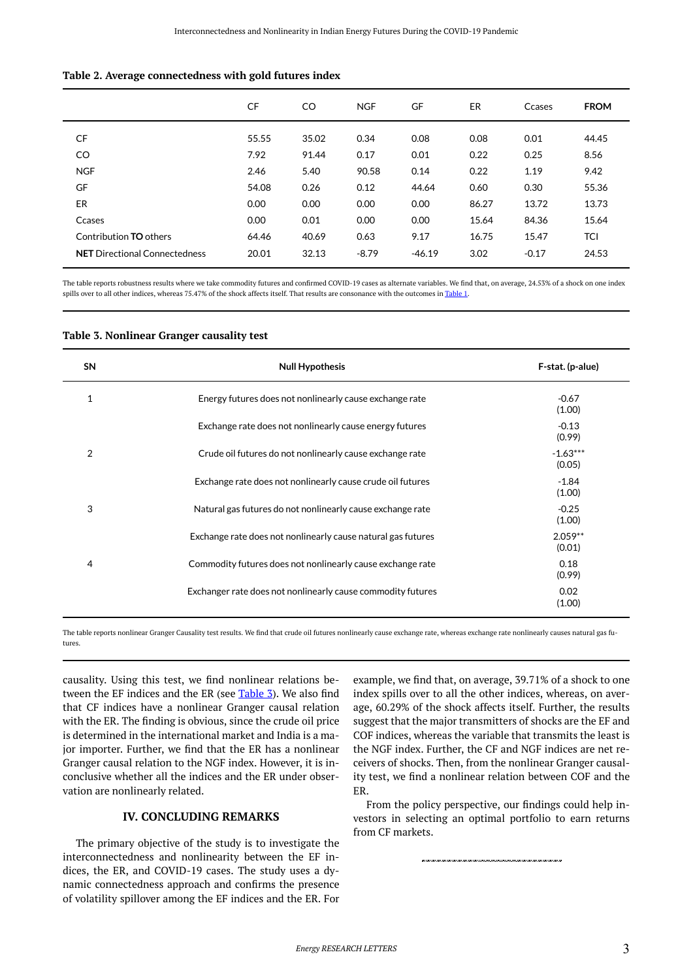#### <span id="page-2-0"></span>**Table 2. Average connectedness with gold futures index**

|                                      | <b>CF</b> | CO.   | <b>NGF</b> | GF       | <b>ER</b> | Ccases  | <b>FROM</b> |
|--------------------------------------|-----------|-------|------------|----------|-----------|---------|-------------|
| CF                                   | 55.55     | 35.02 | 0.34       | 0.08     | 0.08      | 0.01    | 44.45       |
| CO                                   | 7.92      | 91.44 | 0.17       | 0.01     | 0.22      | 0.25    | 8.56        |
| <b>NGF</b>                           | 2.46      | 5.40  | 90.58      | 0.14     | 0.22      | 1.19    | 9.42        |
| GF                                   | 54.08     | 0.26  | 0.12       | 44.64    | 0.60      | 0.30    | 55.36       |
| ER                                   | 0.00      | 0.00  | 0.00       | 0.00     | 86.27     | 13.72   | 13.73       |
| Ccases                               | 0.00      | 0.01  | 0.00       | 0.00     | 15.64     | 84.36   | 15.64       |
| Contribution <b>TO</b> others        | 64.46     | 40.69 | 0.63       | 9.17     | 16.75     | 15.47   | <b>TCI</b>  |
| <b>NET</b> Directional Connectedness | 20.01     | 32.13 | $-8.79$    | $-46.19$ | 3.02      | $-0.17$ | 24.53       |

The table reports robustness results where we take commodity futures and confirmed COVID-19 cases as alternate variables. We find that, on average, 24.53% of a shock on one index spills over to all other indices, whereas 75.47% of the shock affects itself. That results are consonance with the outcomes in [Table 1.](#page-1-0)

| <b>SN</b>    | <b>Null Hypothesis</b>                                       | F-stat. (p-alue)     |
|--------------|--------------------------------------------------------------|----------------------|
| $\mathbf{1}$ | Energy futures does not nonlinearly cause exchange rate      | $-0.67$<br>(1.00)    |
|              | Exchange rate does not nonlinearly cause energy futures      | $-0.13$<br>(0.99)    |
| 2            | Crude oil futures do not nonlinearly cause exchange rate     | $-1.63***$<br>(0.05) |
|              | Exchange rate does not nonlinearly cause crude oil futures   | $-1.84$<br>(1.00)    |
| 3            | Natural gas futures do not nonlinearly cause exchange rate   | $-0.25$<br>(1.00)    |
|              | Exchange rate does not nonlinearly cause natural gas futures | $2.059**$<br>(0.01)  |
| 4            | Commodity futures does not nonlinearly cause exchange rate   | 0.18<br>(0.99)       |
|              | Exchanger rate does not nonlinearly cause commodity futures  | 0.02<br>(1.00)       |

#### <span id="page-2-1"></span>**Table 3. Nonlinear Granger causality test**

The table reports nonlinear Granger Causality test results. We find that crude oil futures nonlinearly cause exchange rate, whereas exchange rate nonlinearly causes natural gas futures.

causality. Using this test, we find nonlinear relations be-tween the EF indices and the ER (see [Table 3](#page-2-1)). We also find that CF indices have a nonlinear Granger causal relation with the ER. The finding is obvious, since the crude oil price is determined in the international market and India is a major importer. Further, we find that the ER has a nonlinear Granger causal relation to the NGF index. However, it is inconclusive whether all the indices and the ER under observation are nonlinearly related.

## **IV. CONCLUDING REMARKS**

The primary objective of the study is to investigate the interconnectedness and nonlinearity between the EF indices, the ER, and COVID-19 cases. The study uses a dynamic connectedness approach and confirms the presence of volatility spillover among the EF indices and the ER. For

example, we find that, on average, 39.71% of a shock to one index spills over to all the other indices, whereas, on average, 60.29% of the shock affects itself. Further, the results suggest that the major transmitters of shocks are the EF and COF indices, whereas the variable that transmits the least is the NGF index. Further, the CF and NGF indices are net receivers of shocks. Then, from the nonlinear Granger causality test, we find a nonlinear relation between COF and the ER.

From the policy perspective, our findings could help investors in selecting an optimal portfolio to earn returns from CF markets.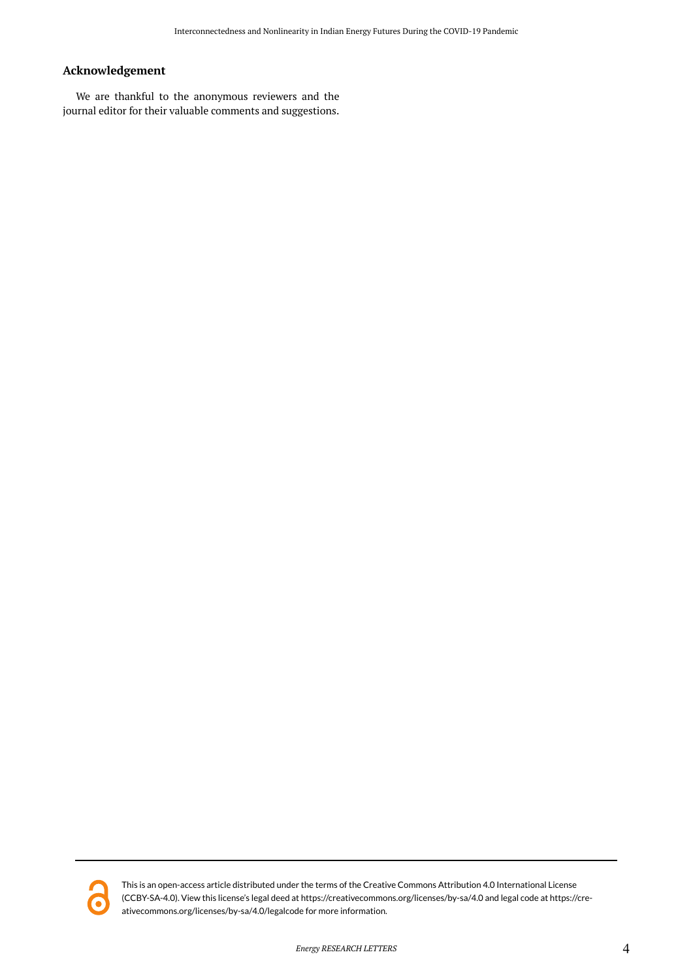# **Acknowledgement**

We are thankful to the anonymous reviewers and the journal editor for their valuable comments and suggestions.



This is an open-access article distributed under the terms of the Creative Commons Attribution 4.0 International License (CCBY-SA-4.0). View this license's legal deed at https://creativecommons.org/licenses/by-sa/4.0 and legal code at https://creativecommons.org/licenses/by-sa/4.0/legalcode for more information.